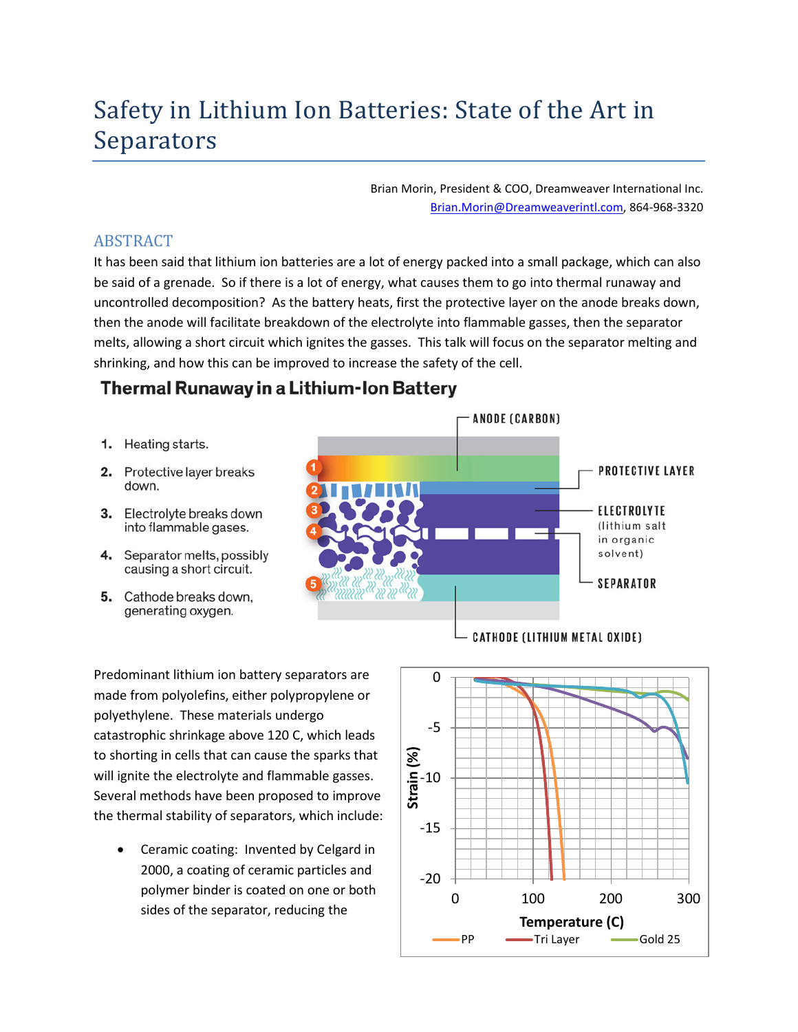## Safety in Lithium Ion Batteries: State of the Art in Separators

Brian Morin, President & COO, Dreamweaver International Inc. [Brian.Morin@Dreamweaverintl.com,](mailto:Brian.Morin@Dreamweaverintl.com) 864-968-3320

## ABSTRACT

It has been said that lithium ion batteries are a lot of energy packed into a small package, which can also be said of a grenade. So if there is a lot of energy, what causes them to go into thermal runaway and uncontrolled decomposition? As the battery heats, first the protective layer on the anode breaks down, then the anode will facilitate breakdown of the electrolyte into flammable gasses, then the separator melts, allowing a short circuit which ignites the gasses. This talk will focus on the separator melting and shrinking, and how this can be improved to increase the safety of the cell.

## **Thermal Runaway in a Lithium-Ion Battery**

- 1. Heating starts.
- 2. Protective layer breaks down.
- 3. Electrolyte breaks down into flammable gases.
- 4. Separator melts, possibly causing a short circuit.
- 5. Cathode breaks down, generating oxygen.

PROTECTIVE LAYER **ELECTROLYTE** (lithium salt in organic solvent) **SEPARATOR** 

- ANODE (CARBON)

Predominant lithium ion battery separators are made from polyolefins, either polypropylene or polyethylene. These materials undergo catastrophic shrinkage above 120 C, which leads to shorting in cells that can cause the sparks that will ignite the electrolyte and flammable gasses. Several methods have been proposed to improve the thermal stability of separators, which include:

• Ceramic coating: Invented by Celgard in 2000, a coating of ceramic particles and polymer binder is coated on one or both sides of the separator, reducing the

**CATHODE (LITHIUM METAL OXIDE)**